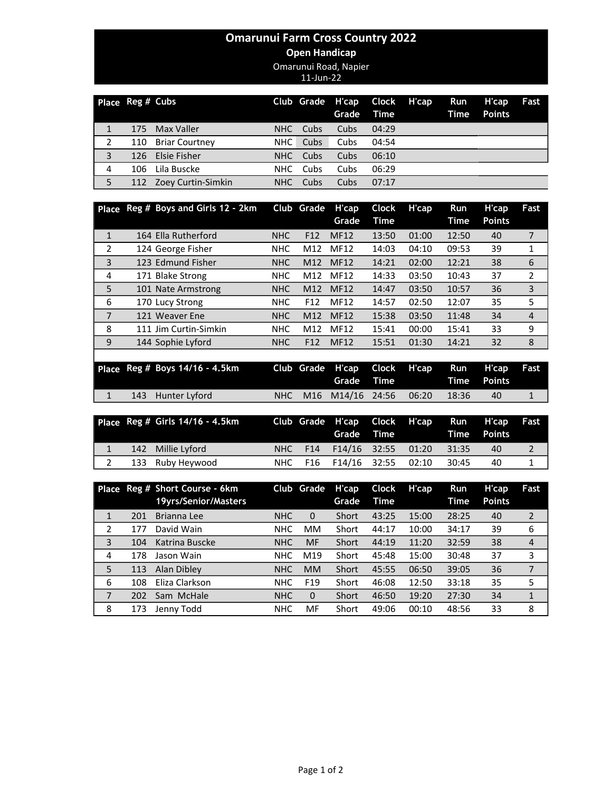## Omarunui Farm Cross Country 2022

## Open Handicap

Omarunui Road, Napier

11-Jun-22

| Place Reg # Cubs |     |                       |            |      | Club Grade H'cap Clock H'cap<br>Grade | <b>Time</b> | Run<br>Time | H'cap<br><b>Points</b> | Fast |
|------------------|-----|-----------------------|------------|------|---------------------------------------|-------------|-------------|------------------------|------|
|                  | 175 | Max Valler            | NHC.       | Cubs | Cubs                                  | 04:29       |             |                        |      |
|                  | 110 | <b>Briar Courtney</b> | NHC        | Cubs | Cubs                                  | 04:54       |             |                        |      |
| 3                |     | 126 Elsie Fisher      | NHC .      | Cubs | Cubs                                  | 06:10       |             |                        |      |
| 4                | 106 | Lila Buscke           | NHC.       | Cubs | Cubs                                  | 06:29       |             |                        |      |
| 5                | 112 | Zoey Curtin-Simkin    | <b>NHC</b> | Cubs | Cubs                                  | 07:17       |             |                        |      |

|              | Place Reg # Boys and Girls 12 - 2km |            | Club Grade      | H'cap       | Clock | H'cap | Run   | H'cap         | Fast           |
|--------------|-------------------------------------|------------|-----------------|-------------|-------|-------|-------|---------------|----------------|
|              |                                     |            |                 | Grade       | Time  |       | Time  | <b>Points</b> |                |
| $\mathbf{1}$ | 164 Ella Rutherford                 | <b>NHC</b> | F <sub>12</sub> | <b>MF12</b> | 13:50 | 01:00 | 12:50 | 40            | 7              |
| 2            | 124 George Fisher                   | <b>NHC</b> | M12             | MF12        | 14:03 | 04:10 | 09:53 | 39            | 1              |
| 3            | 123 Edmund Fisher                   | <b>NHC</b> | M12             | <b>MF12</b> | 14:21 | 02:00 | 12:21 | 38            | 6              |
| 4            | 171 Blake Strong                    | <b>NHC</b> | M12             | MF12        | 14:33 | 03:50 | 10:43 | 37            | 2              |
| 5            | 101 Nate Armstrong                  | <b>NHC</b> | M12             | <b>MF12</b> | 14:47 | 03:50 | 10:57 | 36            | 3              |
| 6            | 170 Lucy Strong                     | <b>NHC</b> | F <sub>12</sub> | MF12        | 14:57 | 02:50 | 12:07 | 35            | 5              |
| 7            | 121 Weaver Ene                      | <b>NHC</b> | M12             | <b>MF12</b> | 15:38 | 03:50 | 11:48 | 34            | $\overline{4}$ |
| 8            | 111 Jim Curtin-Simkin               | <b>NHC</b> | M12             | <b>MF12</b> | 15:41 | 00:00 | 15:41 | 33            | 9              |
| 9            | 144 Sophie Lyford                   | <b>NHC</b> | F <sub>12</sub> | <b>MF12</b> | 15:51 | 01:30 | 14:21 | 32            | 8              |

|  | Place Reg # Boys 14/16 - 4.5km |  | Club Grade H'cap Clock H'cap Run H'cap Fast |  |         |    |  |
|--|--------------------------------|--|---------------------------------------------|--|---------|----|--|
|  | 143 Hunter Lyford              |  | NHC M16 M14/16 24:56 06:20                  |  | - 18:36 | 40 |  |

|  | Place Reg # Girls 14/16 - 4.5km |  |                                  | Grade Time <b>Contains the Strutter of Strutter</b> |       | Club Grade H'cap Clock H'cap Run H'cap Fast<br>Time Points |  |
|--|---------------------------------|--|----------------------------------|-----------------------------------------------------|-------|------------------------------------------------------------|--|
|  | 142 Millie Lyford               |  | NHC F14 F14/16 32:55 01:20 31:35 |                                                     |       | 40                                                         |  |
|  | 133 Ruby Heywood                |  | NHC F16 F14/16 32:55             | 02:10                                               | 30:45 | 40                                                         |  |

|                |     | Place Reg # Short Course - 6km<br>19yrs/Senior/Masters |            | Club Grade      | H'cap<br>Grade | <b>Clock</b><br>Time | H'cap | <b>Run</b><br><b>Time</b> | H'cap<br><b>Points</b> | Fast           |
|----------------|-----|--------------------------------------------------------|------------|-----------------|----------------|----------------------|-------|---------------------------|------------------------|----------------|
| $\mathbf{1}$   | 201 | Brianna Lee                                            | <b>NHC</b> | $\mathbf{0}$    | Short          | 43:25                | 15:00 | 28:25                     | 40                     | 2              |
| $\overline{2}$ | 177 | David Wain                                             | <b>NHC</b> | <b>MM</b>       | Short          | 44:17                | 10:00 | 34:17                     | 39                     | 6              |
| 3              | 104 | Katrina Buscke                                         | <b>NHC</b> | <b>MF</b>       | Short          | 44:19                | 11:20 | 32:59                     | 38                     | $\overline{4}$ |
| 4              | 178 | Jason Wain                                             | <b>NHC</b> | M19             | Short          | 45:48                | 15:00 | 30:48                     | 37                     | 3              |
| 5              | 113 | Alan Dibley                                            | <b>NHC</b> | <b>MM</b>       | Short          | 45:55                | 06:50 | 39:05                     | 36                     | $\overline{7}$ |
| 6              | 108 | Eliza Clarkson                                         | <b>NHC</b> | F <sub>19</sub> | Short          | 46:08                | 12:50 | 33:18                     | 35                     | 5              |
| 7              | 202 | Sam McHale                                             | <b>NHC</b> | $\Omega$        | Short          | 46:50                | 19:20 | 27:30                     | 34                     | $\mathbf{1}$   |
| 8              | 173 | Jenny Todd                                             | <b>NHC</b> | MF              | Short          | 49:06                | 00:10 | 48:56                     | 33                     | 8              |